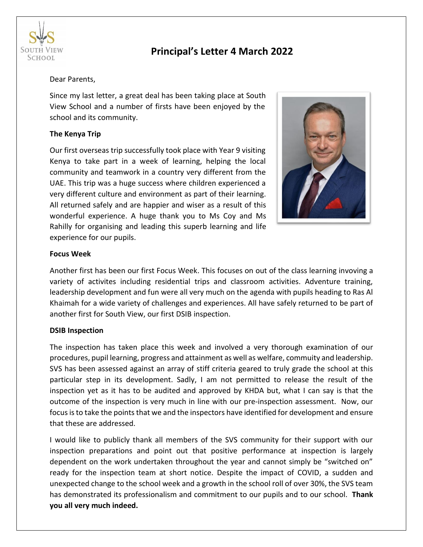

# **Principal's Letter 4 March 2022**

#### Dear Parents,

Since my last letter, a great deal has been taking place at South View School and a number of firsts have been enjoyed by the school and its community.

### **The Kenya Trip**

Our first overseas trip successfully took place with Year 9 visiting Kenya to take part in a week of learning, helping the local community and teamwork in a country very different from the UAE. This trip was a huge success where children experienced a very different culture and environment as part of their learning. All returned safely and are happier and wiser as a result of this wonderful experience. A huge thank you to Ms Coy and Ms Rahilly for organising and leading this superb learning and life experience for our pupils.



#### **Focus Week**

Another first has been our first Focus Week. This focuses on out of the class learning invoving a variety of activites including residential trips and classroom activities. Adventure training, leadership development and fun were all very much on the agenda with pupils heading to Ras Al Khaimah for a wide variety of challenges and experiences. All have safely returned to be part of another first for South View, our first DSIB inspection.

#### **DSIB Inspection**

The inspection has taken place this week and involved a very thorough examination of our procedures, pupil learning, progress and attainment as well as welfare, commuity and leadership. SVS has been assessed against an array of stiff criteria geared to truly grade the school at this particular step in its development. Sadly, I am not permitted to release the result of the inspection yet as it has to be audited and approved by KHDA but, what I can say is that the outcome of the inspection is very much in line with our pre-inspection assessment. Now, our focus is to take the points that we and the inspectors have identified for development and ensure that these are addressed.

I would like to publicly thank all members of the SVS community for their support with our inspection preparations and point out that positive performance at inspection is largely dependent on the work undertaken throughout the year and cannot simply be "switched on" ready for the inspection team at short notice. Despite the impact of COVID, a sudden and unexpected change to the school week and a growth in the school roll of over 30%, the SVS team has demonstrated its professionalism and commitment to our pupils and to our school. **Thank you all very much indeed.**